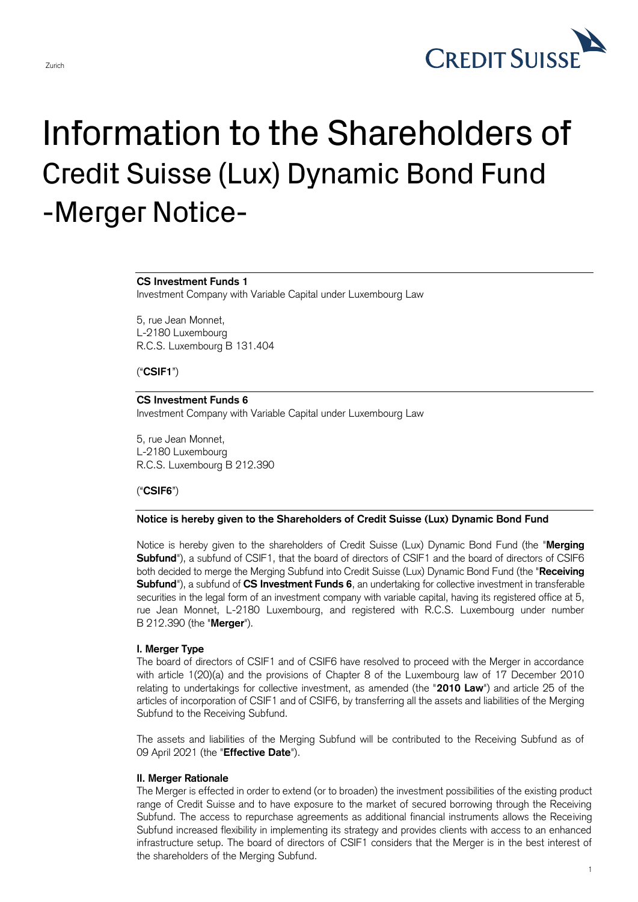

# Information to the Shareholders of Credit Suisse (Lux) Dynamic Bond Fund -Merger Notice-

#### **CS Investment Funds 1**

Investment Company with Variable Capital under Luxembourg Law

5, rue Jean Monnet, L-2180 Luxembourg R.C.S. Luxembourg B 131.404

("**CSIF1**")

# **CS Investment Funds 6**

Investment Company with Variable Capital under Luxembourg Law

5, rue Jean Monnet, L-2180 Luxembourg R.C.S. Luxembourg B 212.390

# ("**CSIF6**")

#### **Notice is hereby given to the Shareholders of Credit Suisse (Lux) Dynamic Bond Fund**

 Notice is hereby given to the shareholders of Credit Suisse (Lux) Dynamic Bond Fund (the "**Merging Subfund**"), a subfund of CSIF1, that the board of directors of CSIF1 and the board of directors of CSIF6 both decided to merge the Merging Subfund into Credit Suisse (Lux) Dynamic Bond Fund (the "**Receiving Subfund**"), a subfund of **CS Investment Funds 6**, an undertaking for collective investment in transferable securities in the legal form of an investment company with variable capital, having its registered office at 5, rue Jean Monnet, L-2180 Luxembourg, and registered with R.C.S. Luxembourg under number B 212.390 (the "**Merger**").

#### **I. Merger Type**

 The board of directors of CSIF1 and of CSIF6 have resolved to proceed with the Merger in accordance with article 1(20)(a) and the provisions of Chapter 8 of the Luxembourg law of 17 December 2010 relating to undertakings for collective investment, as amended (the "**2010 Law**") and article 25 of the articles of incorporation of CSIF1 and of CSIF6, by transferring all the assets and liabilities of the Merging Subfund to the Receiving Subfund.

 The assets and liabilities of the Merging Subfund will be contributed to the Receiving Subfund as of 09 April 2021 (the "**Effective Date**").

#### **II. Merger Rationale**

 The Merger is effected in order to extend (or to broaden) the investment possibilities of the existing product range of Credit Suisse and to have exposure to the market of secured borrowing through the Receiving Subfund. The access to repurchase agreements as additional financial instruments allows the Receiving Subfund increased flexibility in implementing its strategy and provides clients with access to an enhanced infrastructure setup. The board of directors of CSIF1 considers that the Merger is in the best interest of the shareholders of the Merging Subfund.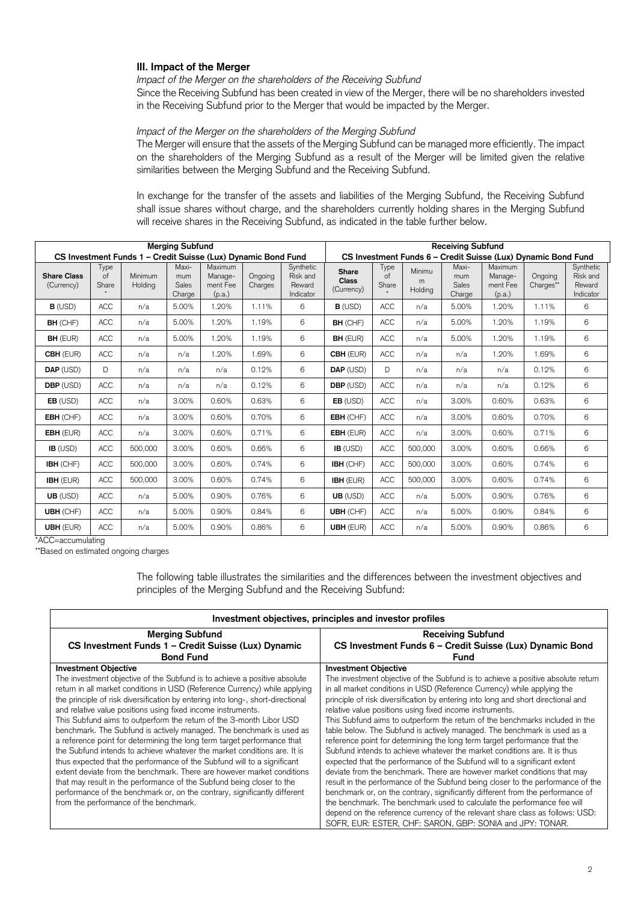# **III. Impact of the Merger**

 *Impact of the Merger on the shareholders of the Receiving Subfund*  Since the Receiving Subfund has been created in view of the Merger, there will be no shareholders invested

in the Receiving Subfund prior to the Merger that would be impacted by the Merger.

# *Impact of the Merger on the shareholders of the Merging Subfund*

 The Merger will ensure that the assets of the Merging Subfund can be managed more efficiently. The impact on the shareholders of the Merging Subfund as a result of the Merger will be limited given the relative similarities between the Merging Subfund and the Receiving Subfund.

 In exchange for the transfer of the assets and liabilities of the Merging Subfund, the Receiving Subfund shall issue shares without charge, and the shareholders currently holding shares in the Merging Subfund will receive shares in the Receiving Subfund, as indicated in the table further below.

| <b>Merging Subfund</b>                                        |                            |                    |                                 |                                          |                    |                                                               | <b>Receiving Subfund</b>            |                            |                        |                                 |                                          |                      |                                              |
|---------------------------------------------------------------|----------------------------|--------------------|---------------------------------|------------------------------------------|--------------------|---------------------------------------------------------------|-------------------------------------|----------------------------|------------------------|---------------------------------|------------------------------------------|----------------------|----------------------------------------------|
| CS Investment Funds 1 - Credit Suisse (Lux) Dynamic Bond Fund |                            |                    |                                 |                                          |                    | CS Investment Funds 6 - Credit Suisse (Lux) Dynamic Bond Fund |                                     |                            |                        |                                 |                                          |                      |                                              |
| <b>Share Class</b><br>(Currency)                              | Type<br>$\circ$ f<br>Share | Minimum<br>Holding | Maxi-<br>mum<br>Sales<br>Charge | Maximum<br>Manage-<br>ment Fee<br>(p.a.) | Ongoing<br>Charges | Synthetic<br>Risk and<br>Reward<br>Indicator                  | Share<br><b>Class</b><br>(Currency) | Type<br>$\circ$ f<br>Share | Minimu<br>m<br>Holding | Maxi-<br>mum<br>Sales<br>Charge | Maximum<br>Manage-<br>ment Fee<br>(p.a.) | Ongoing<br>Charges** | Synthetic<br>Risk and<br>Reward<br>Indicator |
| $B$ (USD)                                                     | <b>ACC</b>                 | n/a                | 5.00%                           | 1.20%                                    | 1.11%              | 6                                                             | $B$ (USD)                           | <b>ACC</b>                 | n/a                    | 5.00%                           | 1.20%                                    | 1.11%                | 6                                            |
| <b>BH</b> (CHF)                                               | <b>ACC</b>                 | n/a                | 5.00%                           | 1.20%                                    | 1.19%              | 6                                                             | <b>BH</b> (CHF)                     | <b>ACC</b>                 | n/a                    | 5.00%                           | 1.20%                                    | 1.19%                | 6                                            |
| <b>BH</b> (EUR)                                               | ACC                        | n/a                | 5.00%                           | 1.20%                                    | 1.19%              | 6                                                             | <b>BH</b> (EUR)                     | <b>ACC</b>                 | n/a                    | 5.00%                           | 1.20%                                    | 1.19%                | 6                                            |
| <b>CBH</b> (EUR)                                              | <b>ACC</b>                 | n/a                | n/a                             | 1.20%                                    | 1.69%              | 6                                                             | <b>CBH (EUR)</b>                    | <b>ACC</b>                 | n/a                    | n/a                             | 1.20%                                    | 1.69%                | 6                                            |
| DAP (USD)                                                     | D                          | n/a                | n/a                             | n/a                                      | 0.12%              | 6                                                             | DAP (USD)                           | D                          | n/a                    | n/a                             | n/a                                      | 0.12%                | 6                                            |
| <b>DBP</b> (USD)                                              | <b>ACC</b>                 | n/a                | n/a                             | n/a                                      | 0.12%              | 6                                                             | <b>DBP</b> (USD)                    | <b>ACC</b>                 | n/a                    | n/a                             | n/a                                      | 0.12%                | 6                                            |
| $EB$ (USD)                                                    | ACC                        | n/a                | 3.00%                           | 0.60%                                    | 0.63%              | 6                                                             | $EB$ (USD)                          | <b>ACC</b>                 | n/a                    | 3.00%                           | 0.60%                                    | 0.63%                | 6                                            |
| EBH (CHF)                                                     | ACC                        | n/a                | 3.00%                           | 0.60%                                    | 0.70%              | 6                                                             | <b>EBH</b> (CHF)                    | <b>ACC</b>                 | n/a                    | 3.00%                           | 0.60%                                    | 0.70%                | 6                                            |
| <b>EBH</b> (EUR)                                              | <b>ACC</b>                 | n/a                | 3.00%                           | 0.60%                                    | 0.71%              | 6                                                             | EBH (EUR)                           | <b>ACC</b>                 | n/a                    | 3.00%                           | 0.60%                                    | 0.71%                | 6                                            |
| $IB$ (USD)                                                    | ACC                        | 500,000            | 3.00%                           | 0.60%                                    | 0.66%              | 6                                                             | $IB$ (USD)                          | ACC                        | 500,000                | 3.00%                           | 0.60%                                    | 0.66%                | 6                                            |
| IBH (CHF)                                                     | <b>ACC</b>                 | 500,000            | 3.00%                           | 0.60%                                    | 0.74%              | 6                                                             | IBH (CHF)                           | <b>ACC</b>                 | 500,000                | 3.00%                           | 0.60%                                    | 0.74%                | 6                                            |
| <b>IBH (EUR)</b>                                              | ACC                        | 500,000            | 3.00%                           | 0.60%                                    | 0.74%              | 6                                                             | <b>IBH (EUR)</b>                    | <b>ACC</b>                 | 500,000                | 3.00%                           | 0.60%                                    | 0.74%                | 6                                            |
| UB (USD)                                                      | <b>ACC</b>                 | n/a                | 5.00%                           | 0.90%                                    | 0.76%              | 6                                                             | UB (USD)                            | <b>ACC</b>                 | n/a                    | 5.00%                           | 0.90%                                    | 0.76%                | 6                                            |
| <b>UBH</b> (CHF)                                              | <b>ACC</b>                 | n/a                | 5.00%                           | 0.90%                                    | 0.84%              | 6                                                             | <b>UBH (CHF)</b>                    | <b>ACC</b>                 | n/a                    | 5.00%                           | 0.90%                                    | 0.84%                | 6                                            |
| <b>UBH (EUR)</b>                                              | ACC                        | n/a                | 5.00%                           | 0.90%                                    | 0.86%              | 6                                                             | <b>UBH (EUR)</b>                    | <b>ACC</b>                 | n/a                    | 5.00%                           | 0.90%                                    | 0.86%                | 6                                            |

\*ACC=accumulating

\*\*Based on estimated ongoing charges

The following table illustrates the similarities and the differences between the investment objectives and principles of the Merging Subfund and the Receiving Subfund:

| Investment objectives, principles and investor profiles                                                                                                                                                                                                                                                                                                                                                                                                                                                                                                                                                                                                                                                                    |                                                                                                                                                                                                                                                                                                                                                                                                                                                                                                                                                                                                                                                                                                                                                |  |  |  |  |
|----------------------------------------------------------------------------------------------------------------------------------------------------------------------------------------------------------------------------------------------------------------------------------------------------------------------------------------------------------------------------------------------------------------------------------------------------------------------------------------------------------------------------------------------------------------------------------------------------------------------------------------------------------------------------------------------------------------------------|------------------------------------------------------------------------------------------------------------------------------------------------------------------------------------------------------------------------------------------------------------------------------------------------------------------------------------------------------------------------------------------------------------------------------------------------------------------------------------------------------------------------------------------------------------------------------------------------------------------------------------------------------------------------------------------------------------------------------------------------|--|--|--|--|
| <b>Merging Subfund</b>                                                                                                                                                                                                                                                                                                                                                                                                                                                                                                                                                                                                                                                                                                     | <b>Receiving Subfund</b>                                                                                                                                                                                                                                                                                                                                                                                                                                                                                                                                                                                                                                                                                                                       |  |  |  |  |
| CS Investment Funds 1 - Credit Suisse (Lux) Dynamic                                                                                                                                                                                                                                                                                                                                                                                                                                                                                                                                                                                                                                                                        | CS Investment Funds 6 - Credit Suisse (Lux) Dynamic Bond                                                                                                                                                                                                                                                                                                                                                                                                                                                                                                                                                                                                                                                                                       |  |  |  |  |
| <b>Bond Fund</b>                                                                                                                                                                                                                                                                                                                                                                                                                                                                                                                                                                                                                                                                                                           | Fund                                                                                                                                                                                                                                                                                                                                                                                                                                                                                                                                                                                                                                                                                                                                           |  |  |  |  |
| <b>Investment Objective</b><br>The investment objective of the Subfund is to achieve a positive absolute<br>return in all market conditions in USD (Reference Currency) while applying<br>the principle of risk diversification by entering into long-, short-directional<br>and relative value positions using fixed income instruments.<br>This Subfund aims to outperform the return of the 3-month Libor USD<br>benchmark. The Subfund is actively managed. The benchmark is used as<br>a reference point for determining the long term target performance that<br>the Subfund intends to achieve whatever the market conditions are. It is<br>thus expected that the performance of the Subfund will to a significant | <b>Investment Objective</b><br>The investment objective of the Subfund is to achieve a positive absolute return<br>in all market conditions in USD (Reference Currency) while applying the<br>principle of risk diversification by entering into long and short directional and<br>relative value positions using fixed income instruments.<br>This Subfund aims to outperform the return of the benchmarks included in the<br>table below. The Subfund is actively managed. The benchmark is used as a<br>reference point for determining the long term target performance that the<br>Subfund intends to achieve whatever the market conditions are. It is thus<br>expected that the performance of the Subfund will to a significant extent |  |  |  |  |
| extent deviate from the benchmark. There are however market conditions<br>that may result in the performance of the Subfund being closer to the<br>performance of the benchmark or, on the contrary, significantly different<br>from the performance of the benchmark.                                                                                                                                                                                                                                                                                                                                                                                                                                                     | deviate from the benchmark. There are however market conditions that may<br>result in the performance of the Subfund being closer to the performance of the<br>benchmark or, on the contrary, significantly different from the performance of<br>the benchmark. The benchmark used to calculate the performance fee will<br>depend on the reference currency of the relevant share class as follows: USD:<br>SOFR, EUR: ESTER, CHF: SARON, GBP: SONIA and JPY: TONAR.                                                                                                                                                                                                                                                                          |  |  |  |  |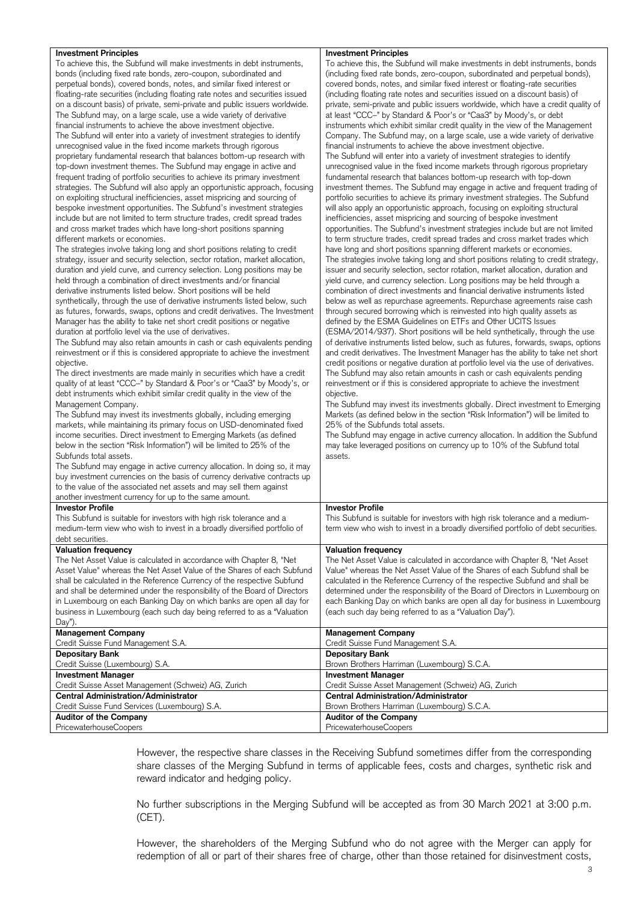| <b>Investment Principles</b>                                                  | Investment Principles                                                                |
|-------------------------------------------------------------------------------|--------------------------------------------------------------------------------------|
| To achieve this, the Subfund will make investments in debt instruments,       | To achieve this, the Subfund will make investments in debt instruments, bonds        |
| bonds (including fixed rate bonds, zero-coupon, subordinated and              | (including fixed rate bonds, zero-coupon, subordinated and perpetual bonds),         |
| perpetual bonds), covered bonds, notes, and similar fixed interest or         | covered bonds, notes, and similar fixed interest or floating-rate securities         |
| floating-rate securities (including floating rate notes and securities issued | (including floating rate notes and securities issued on a discount basis) of         |
|                                                                               |                                                                                      |
| on a discount basis) of private, semi-private and public issuers worldwide.   | private, semi-private and public issuers worldwide, which have a credit quality of   |
| The Subfund may, on a large scale, use a wide variety of derivative           | at least "CCC-" by Standard & Poor's or "Caa3" by Moody's, or debt                   |
| financial instruments to achieve the above investment objective.              | instruments which exhibit similar credit quality in the view of the Management       |
| The Subfund will enter into a variety of investment strategies to identify    | Company. The Subfund may, on a large scale, use a wide variety of derivative         |
| unrecognised value in the fixed income markets through rigorous               | financial instruments to achieve the above investment objective.                     |
| proprietary fundamental research that balances bottom-up research with        | The Subfund will enter into a variety of investment strategies to identify           |
| top-down investment themes. The Subfund may engage in active and              | unrecognised value in the fixed income markets through rigorous proprietary          |
| frequent trading of portfolio securities to achieve its primary investment    | fundamental research that balances bottom-up research with top-down                  |
|                                                                               |                                                                                      |
| strategies. The Subfund will also apply an opportunistic approach, focusing   | investment themes. The Subfund may engage in active and frequent trading of          |
| on exploiting structural inefficiencies, asset mispricing and sourcing of     | portfolio securities to achieve its primary investment strategies. The Subfund       |
| bespoke investment opportunities. The Subfund's investment strategies         | will also apply an opportunistic approach, focusing on exploiting structural         |
| include but are not limited to term structure trades, credit spread trades    | inefficiencies, asset mispricing and sourcing of bespoke investment                  |
| and cross market trades which have long-short positions spanning              | opportunities. The Subfund's investment strategies include but are not limited       |
| different markets or economies.                                               | to term structure trades, credit spread trades and cross market trades which         |
| The strategies involve taking long and short positions relating to credit     | have long and short positions spanning different markets or economies.               |
| strategy, issuer and security selection, sector rotation, market allocation,  | The strategies involve taking long and short positions relating to credit strategy,  |
|                                                                               |                                                                                      |
| duration and yield curve, and currency selection. Long positions may be       | issuer and security selection, sector rotation, market allocation, duration and      |
| held through a combination of direct investments and/or financial             | yield curve, and currency selection. Long positions may be held through a            |
| derivative instruments listed below. Short positions will be held             | combination of direct investments and financial derivative instruments listed        |
| synthetically, through the use of derivative instruments listed below, such   | below as well as repurchase agreements. Repurchase agreements raise cash             |
| as futures, forwards, swaps, options and credit derivatives. The Investment   | through secured borrowing which is reinvested into high quality assets as            |
| Manager has the ability to take net short credit positions or negative        | defined by the ESMA Guidelines on ETFs and Other UCITS Issues                        |
| duration at portfolio level via the use of derivatives.                       | (ESMA/2014/937). Short positions will be held synthetically, through the use         |
| The Subfund may also retain amounts in cash or cash equivalents pending       | of derivative instruments listed below, such as futures, forwards, swaps, options    |
| reinvestment or if this is considered appropriate to achieve the investment   | and credit derivatives. The Investment Manager has the ability to take net short     |
|                                                                               | credit positions or negative duration at portfolio level via the use of derivatives. |
| objective.                                                                    |                                                                                      |
| The direct investments are made mainly in securities which have a credit      | The Subfund may also retain amounts in cash or cash equivalents pending              |
| quality of at least "CCC-" by Standard & Poor's or "Caa3" by Moody's, or      | reinvestment or if this is considered appropriate to achieve the investment          |
| debt instruments which exhibit similar credit quality in the view of the      | objective.                                                                           |
| Management Company.                                                           | The Subfund may invest its investments globally. Direct investment to Emerging       |
| The Subfund may invest its investments globally, including emerging           | Markets (as defined below in the section "Risk Information") will be limited to      |
| markets, while maintaining its primary focus on USD-denominated fixed         | 25% of the Subfunds total assets.                                                    |
| income securities. Direct investment to Emerging Markets (as defined          | The Subfund may engage in active currency allocation. In addition the Subfund        |
| below in the section "Risk Information") will be limited to 25% of the        | may take leveraged positions on currency up to 10% of the Subfund total              |
| Subfunds total assets.                                                        | assets.                                                                              |
| The Subfund may engage in active currency allocation. In doing so, it may     |                                                                                      |
|                                                                               |                                                                                      |
| buy investment currencies on the basis of currency derivative contracts up    |                                                                                      |
| to the value of the associated net assets and may sell them against           |                                                                                      |
| another investment currency for up to the same amount.                        |                                                                                      |
| <b>Investor Profile</b>                                                       | <b>Investor Profile</b>                                                              |
| This Subfund is suitable for investors with high risk tolerance and a         | This Subfund is suitable for investors with high risk tolerance and a medium-        |
| medium-term view who wish to invest in a broadly diversified portfolio of     | term view who wish to invest in a broadly diversified portfolio of debt securities.  |
| debt securities.                                                              |                                                                                      |
| <b>Valuation frequency</b>                                                    | <b>Valuation frequency</b>                                                           |
| The Net Asset Value is calculated in accordance with Chapter 8, "Net          | The Net Asset Value is calculated in accordance with Chapter 8, "Net Asset           |
|                                                                               | Value" whereas the Net Asset Value of the Shares of each Subfund shall be            |
| Asset Value" whereas the Net Asset Value of the Shares of each Subfund        |                                                                                      |
| shall be calculated in the Reference Currency of the respective Subfund       | calculated in the Reference Currency of the respective Subfund and shall be          |
| and shall be determined under the responsibility of the Board of Directors    | determined under the responsibility of the Board of Directors in Luxembourg on       |
| in Luxembourg on each Banking Day on which banks are open all day for         | each Banking Day on which banks are open all day for business in Luxembourg          |
| business in Luxembourg (each such day being referred to as a "Valuation       | (each such day being referred to as a "Valuation Day").                              |
| $Day$ ").                                                                     |                                                                                      |
| <b>Management Company</b>                                                     | <b>Management Company</b>                                                            |
| Credit Suisse Fund Management S.A.                                            | Credit Suisse Fund Management S.A.                                                   |
| <b>Depositary Bank</b>                                                        | <b>Depositary Bank</b>                                                               |
| Credit Suisse (Luxembourg) S.A.                                               | Brown Brothers Harriman (Luxembourg) S.C.A.                                          |
|                                                                               |                                                                                      |
| <b>Investment Manager</b>                                                     | <b>Investment Manager</b>                                                            |
| Credit Suisse Asset Management (Schweiz) AG, Zurich                           | Credit Suisse Asset Management (Schweiz) AG, Zurich                                  |
| <b>Central Administration/Administrator</b>                                   | <b>Central Administration/Administrator</b>                                          |
| Credit Suisse Fund Services (Luxembourg) S.A.                                 | Brown Brothers Harriman (Luxembourg) S.C.A.                                          |
| <b>Auditor of the Company</b>                                                 | <b>Auditor of the Company</b>                                                        |
| PricewaterhouseCoopers                                                        | <b>PricewaterhouseCoopers</b>                                                        |
|                                                                               |                                                                                      |

 share classes of the Merging Subfund in terms of applicable fees, costs and charges, synthetic risk and However, the respective share classes in the Receiving Subfund sometimes differ from the corresponding reward indicator and hedging policy.

 No further subscriptions in the Merging Subfund will be accepted as from 30 March 2021 at 3:00 p.m. (CET).

 However, the shareholders of the Merging Subfund who do not agree with the Merger can apply for redemption of all or part of their shares free of charge, other than those retained for disinvestment costs,